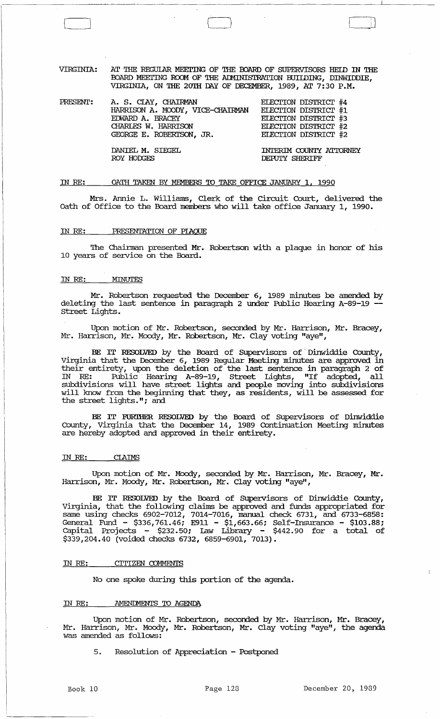VIRGINIA: AT THE REGUIAR MEETING OF THE BOARD OF SUPERVISORS HEID IN THE BOARD MEETING ROOM OF THE ADMINISTRATION BUIIDING, DINWIDDIE, VIRGINIA, ON THE 20TH DAY OF DECEMBER, 1989, AT 7:30 P.M.

| PRESENT: | A. S. CIAY, CHAIRMAN<br>HARRISON A. MOODY, VICE-CHAIRMAN<br>EDWARD A. BRACEY<br>CHARLES W. HARRISON<br>GEORGE E. ROBERISON, JR. | ELECTION DISTRICT #4<br>ELECTION DISTRICT #1<br>ELECTION DISTRICT #3<br>ELECTION DISTRICT #2<br>ELECTION DISTRICT #2 |
|----------|---------------------------------------------------------------------------------------------------------------------------------|----------------------------------------------------------------------------------------------------------------------|
|          | DANIEL M. SIEGEL<br>ROY HODGES                                                                                                  | INTERIM COUNTY ATTORNEY<br>DEPUTY SHERIFF                                                                            |

#### IN RE: OATH TAKEN BY MEMBERS TO TAKE OFFICE JANUARY 1, 1990

Mrs. Annie L. Williams, Clerk of the circuit Court, delivered the oath of Office to the Board members who will take office January 1, 1990.

# IN RE: PRESENTATION OF PIAQUE

The Chainnan presented Mr. Robertson with a plaque in honor of his 10 years of service on the Board.

## IN RE: *MINUTES*

Mr. Robertson requested the December 6, 1989 minutes be amended by deleting the last sentence in paragraph 2 under Public Hearing A-89-19 - Street Lights.

Upon motion of Mr. Robertson, seconded by Mr. Harrison, Mr. Bracey, Mr. Harrison, Mr. Moody, Mr. Robertson, Mr. Clay voting "aye",

BE IT RESOLVED by the Board of Supervisors of Dinwiddie County, Virginia that the December 6, 1989 Regular Meeting minutes are approved in their entirety, upon the deletion of the last sentence in paragraph 2 of IN RE: Public Hearing A-89-19, street Lights, "If adopted, all subdivisions will have street lights and people moving into subdivisions will know from the beginning that they, as residents, will be assessed for the street lights."; and

BE IT FORIHER. RESOLVED by the Board of supervisors of Dinwiddie County, Virginia that the December 14, 1989 Continuation Meeting minutes are hereby adopted and approved in their entirety.

#### IN RE: CIAIMS

Upon motion of Mr. Moody, seconded by Mr. Harrison, Mr. Bracey, Mr. Harrison, Mr. Moody, Mr. Robertson, Mr. Clay voting "aye",

BE IT RESOLVED by the Board of Supervisors of Dinwiddie County, Virginia, that the following clailns be approved and funds appropriated for same using checks 6902-7012, 7014-7016, manual check 6731, and 6733-6858: General Fund - \$336,761.46; E911 - \$1,663.66; Self-Insurance - \$103.88; capital Projects - \$232.50; Law Library - \$442.90 for a total of  $$339,204.40$  (voided checks 6732, 6859-6901, 7013).

# IN RE: CITIZEN COMMENTS

No one spoke during this portion of the agenda.

#### IN RE: AMENDMENTS TO AGENDA

Upon motion of Mr. Robertson, seconded by Mr. Harrison, Mr. Bracey, Mr. Harrison, Mr. Moody, Mr. Robertson, Mr. Clay voting "aye", the agenda was amended as follows:

5. Resolution of Appreciation - Postponed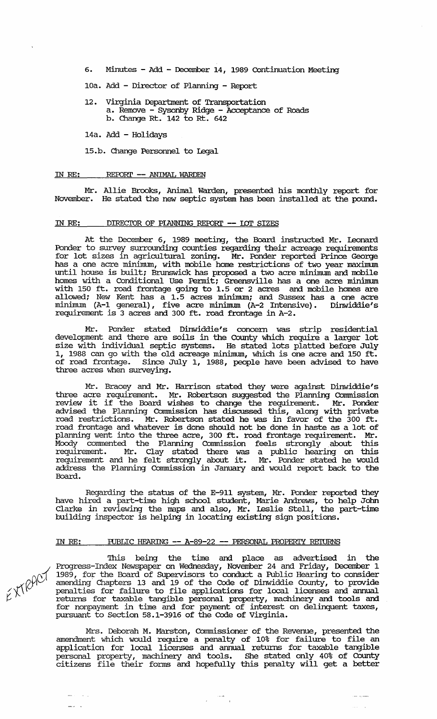6. Minutes - Add - December 14, 1989 continuation Meeting

lOa. Add - Director of Planning - Report

12. Virginia Department of Transportation a. Remove - sysonby Ridge - Acceptance of Roads b. Change Rt. 142 to Rt. 642

14a. Add - Holidays

15.b. Change Personnel to Legal

#### IN RE: REPORT -- ANIMAL WARDEN

Mr. Allie Brooks, Animal Warden, presented his monthly report for November. He stated the new septic system has been installed at the pound.

# IN RE: DIRECTOR OF PLANNING REPORT -- IOT SIZES

At the December 6, 1989 meeting, the Board instructed Mr. Leonard Ponder to survey surrounding counties regarding their acreage requirements for lot sizes in agricultural zoning. Mr. Ponder reported Prince George has a one acre minimum, with mobile home restrictions of two year maximum until house is built; Brunswick has proposed a two acre minimum and mobile homes with a Conditional Use Permit; Greensville has a one acre minimum with 150 ft. road frontage going to 1.5 or 2 acres and mobile homes are allowed; New Kent has a 1.5 acres minimum; and Sussex has a one acre minimum (A-1 general), five acre minimum (A-2 Intensive). Dinwiddie's requirement is 3 acres and 300 ft. road frontage in A-2.

Mr. Ponder stated Dinwiddie's concern was strip residential development and there are soils in the County which require a larger lot size with individual septic systems. He stated lots platted before July 1, 1988 can go with the old acreage minimum, which is one acre and 150 ft. of road frontage. since July 1, 1988, people have been advised to have three acres when surveying.

Mr. Bracey and Mr. Harrison stated they were against Dinwiddie's three acre requirement. Mr. Robertson suggested the Planning Connnission review it if the Board wishes to change the requirement. Mr. Ponder advised the Planning Connnission has discussed this, along with private road restrictions. Mr. Robertson stated he was in favor of the 300 ft. road frontage and whatever is done should not be done in haste as a lot of planning went into the three acre, 300 ft. road frontage requirement. Mr. Moody commented the Planning Connnission feels strongly . about this requirement. Mr. Clay stated there was a public hearing on this requirement and he felt strongly about it. Mr. Ponder stated he would address the Planning Commission in January and would report back to the Board.

Regarding the status of the E-911 system, Mr. Ponder reported they have hired a part-time high school student, Marie Andrews, to help John Clarke in reviewing the maps and also, Mr. Leslie Stell, the part-time building inspector is helping in locating existing sign positions.

### IN RE: PUBLIC HEARING -- A-89-22 -- PERSONAL PROPERTY RETURNS

'Ihis being the time and place as advertised in the Progress-Index Newspaper on Wednesday, November 24 and Friday, December 1 1989, for the Board of SUpervisors to conduct a Public Hearing to consider amending Chapters 13 and 19 of the Code of Dinwiddie COunty, to provide penalties for failure to file applications for local licenses and annual returns for taxable tangible personal property, machinery and tools and for nonpayment in time and for payment of interest on delinquent taxes, pursuant to Section 58.1-3916 of the Code of Virginia.

Mrs. Deborah M. Marston, Commissioner of the Revenue, presented the amendment which would require a penalty of 10% for failure to file an application for local licerses and annual returns for taxable tangible personal property, machinery and tools. She stated only 40% of COunty citizens file their fonus and hopefully this penalty will get a better

للمستريب المنا

 $EXRACY$ 

 $\sim 10^{-1}$  km

لأراض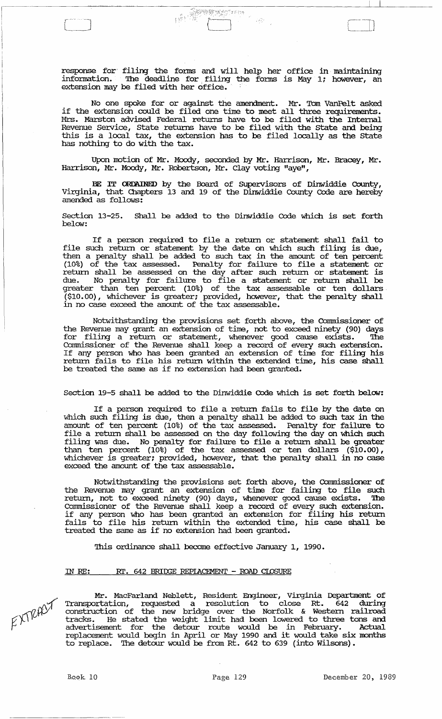response for filing the fonns and will help her office in maintaining infonnation. The deadline for. filing the fonns is May 1; however, an extension may be filed with her office.

**ORDER SERVICE** 

222

No one spoke for or against the amendment. Mr. Tom VanPelt asked if the extension could be filed one time to meet all three requirements. Mrs. Marston advised Federal returns have to be filed with the Internal Revenue service, state retmns have to be filed with the state and being this is a local tax, the extension has to be filed locally as the state has nothing to do with the tax.

Upon motion of Mr. Moody, seconded by Mr. Harrison, Mr. Bracey, Mr. Harrison, Mr. Moody, Mr. Robertson, Mr. Clay voting "aye",

BE rr ORDAINED by the Board of SUpervisors of Dinwiddie County, Virginia, that Chapters 13 and 19 of the Dinwiddie County Code are hereby amended as follows:

section 13-25. Shall be added to the Dinwiddie Code which is set forth below:

If a person required to file a return or statement shall fail to file such return or statement by the date on which such filing is due, the such featured statement by the date on which such fifting is due,<br>then a penalty shall be added to such tax in the amount of ten percent (10%) of the tax assessed. Penalty for failure to file a statement or return shall be assessed on the day after such return or statement is due. No penalty for failure to file a statement or return shall be greater than ten percent (10%) of the tax assessable or ten dollars· (\$10.00), whichever is greater; provided, however, that the penalty shall in no case exceed the amount of the tax assessable.

Notwithstanding the provisions set forth above, the Commissioner of the Revenue may grant an extension of time, not to exceed ninety (90) days<br>for filing a return or statement, whenever good cause exists. The for filing a return or statement, whenever good cause exists. Commissioner of the Revenue shall keep a record of every such extension. Commissioner of the nevence sharp need an extension of time for filing his return fails to file his return within the extended time, his case shall be treated the same as if no extension had been granted.

Section 19-5 shall be added to the Dinwiddie Code which is set forth below:

If a person required to file a return fails to file by the date on which such filing is due, then a penalty shall be added to such tax in the amount of ten percent (10%) of the tax assessed. Penalty for failure to file a return shall be assessed on the day following the day on which such filing was due. No penalty for failure to file a return shall be greater than ten percent (10%) of the tax assessed or ten dollars (\$10.00), whichever is greater; provided, however, that the penalty shall in no case exceed the amount of the tax assessable.

Notwithstanding the provisions set forth above, the Commissioner of the Revenue may grant an extension of time for failing to file such return, not to exceed ninety (90) days, whenever good cause exists. '!he Connnissioner of the Revenue shall keep a record of every such extension. if any person who has been granted an extension for filing his return fails to file his return within the extended time, his case shall be treated the same as if no extension had been granted.

This ordinance shall become effective January 1, 1990.

### IN RE: RT. 642 BRIDGE REPIACEMENT - ROAD CLOSURE

EXTRACT

Mr. MacFarland Neblett, Resident Engineer, virginia Department of Transportation, requested a resolution to close Rt. 642 during construction of the new bridge over the Norfolk & Western railroad tracks. He stated the weight limit had been lowered to three tons and advertisement for the detour route would be in February. Actual replacement would begin in April or May 1990 and it would take six months to replace. The detour would be from Rt. 642 to 639 (into Wilsons).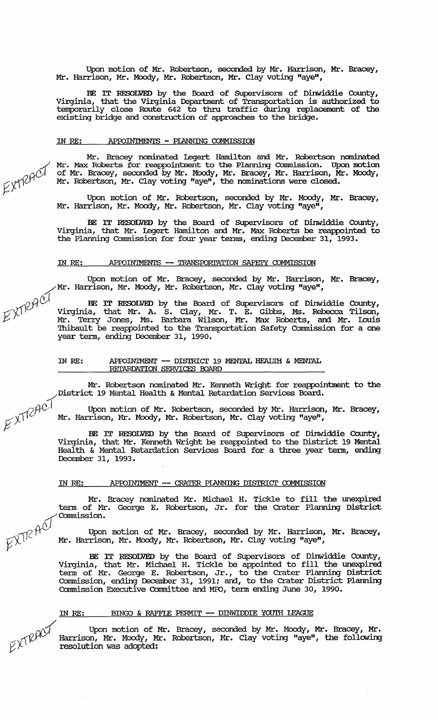Upon motion of Mr. Robertson, seconded by Mr. Harrison, Mr. Bracey, Mr. Harrison, Mr. Moody, Mr. Robertson, Mr. Clay voting "aye",

BE IT RESOLVED by the Board of SUpervisors of Dinwiddie County, Virginia, that the Virginia Deparbnent of Transportation is authorized to temporarily close Route 642 to thru traffic during replacement of the existing bridge and construction of approaches to the bridge.

#### IN RE: APPOINTMENTS - PIANNING COMMISSION

Mr. Bracey nominated Legert Hamilton and Mr. Robertson nominated Mr. Max Roberts for reappointment to the Plarming connnission. Upon motion of Mr. Bracey, seconded by Mr. Moody, Mr. Bracey, Mr. Harrison, Mr. Moody, Mr. Robertson, Mr. Clay voting "aye", the nominations were closed.

Upon motion of Mr. Robertson, seconded by Mr. Moody, Mr. Bracey, Mr. Harrison, Mr. Moody, Mr. Robertson, Mr. Clay voting "aye",

BE IT RESOLVED by the Board of Supervisors of Dinwiddie County, Virginia, that Mr. Legert Hamilton and Mr. Max Roberts be reappointed to the Planning Commission for four year tenus, ending December 31, 1993.

# IN RE: APPOINTMENTS -- TRANSPORTATION SAFETY COMMISSION

Upon motion of Mr. Bracey, seconded by Mr. Harrison, Mr. Bracey,<br>Mr. Harrison, Mr. Moody, Mr. Robertson, Mr. Clay voting "aye",

~cP BE rr RESOLVED by the Board of SUpervisors of Dinwiddie County, . virginia, that Mr. A. S. Clay, Mr. T. E. Gibbs, Ms. Rebecca Tilson, Mr. Ten:y Jones, Ms. Barbara Wilson, Mr. Max Roberts, and Mr. IDuis 'Ihibault be reappointed to the Transportation Safety Commission for a one year term, ending December 31, 1990.

# IN RE: APPOINIMENT -- DISTRICT 19 MENTAL HEALTH & MENTAL RETARDATION SERVICES BOARD

Mr. Robertson nominated Mr. Kenneth Wright for reappointment to the

District 19 Mental Health & Mental Retardation Services Board.<br>Upon motion of Mr. Robertson, seconded by Mr. Harrison<br>Mr. Harrison, Mr. Moody, Mr. Robertson in the Mr. Harrison Upon motion of Mr. Robertson, seconded by Mr. Harrison, Mr. Bracey, Mr. Harrison, Mr. Moody, Mr. Robertson, Mr. Clay voting "aye",

BE IT RESOLVED by the Board of Supervisors of Dinwiddie County, Virginia, that Mr. Kenneth Wright be reappointed to the District 19 Mental Health & Mental Retardation Services Board for a three year term, ending December 31, 1993.

### IN *RE:* APfOIN'lMENT -- CRATER PIANNING DISTRIcr COMMISSION

Mr. Bracey nominated Mr. Michael H. Tickle to fill the unexpired term of Mr. George E. Robertson, Jr. for the Crater Planning District<br>
Commission.

in the upon motion of Mr. Bracey, seconded by Mr. Harrison, Mr. Bracey,  $\widetilde{X}^{\text{int}}$ . Harrison, Mr. Harrison, Mr. Moody, Mr. Robertson, Mr. Clav voting "are" Mr. Harrison, Mr. Moody, Mr. Robertson, Mr. Clay voting "aye",

BE IT RESOLVED by the Board of Supervisors of Dinwiddie County, Virginia, that Mr. Michael H. Tickle be appointed to fill the unexpired tenn of Mr. George E. Robertson, Jr., to the Crater Planning District Commission, ending December 31, 1991; and, to the Crater District Planning Commission Executive Committee and MPO, term ending June 30, 1990.

## IN RE: BINGO & RAFFIE PERMIT -- DINWIDDIE YOUTH LEAGUE

Upon motion of Mr. Bracey, seconded by Mr. Moody, Mr. Bracey, Mr. Harrison, Mr. Moody, Mr. Robertson, Mr. Clay voting "aye", the following resolution was adopted: resolution was adopted:

EXTRACT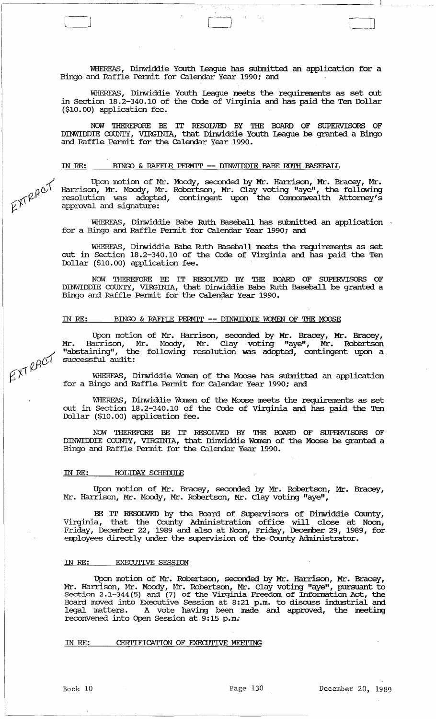WHEREAS, Dinwiddie Youth league has submitted an application for a Bingo and Raffle Pennit for calendar Year 1990; and

 $\Box$ 

WHEREAS, Dinwiddie Youth league meets the requirements as set out in Section 18.2-340.10 of the Code of Virginia and has paid the Ten Ibllar (\$10.00) application fee.

NOW THEREFORE BE IT RESOLVED BY THE BOARD OF SUPERVISORS OF DINWIDDIE OJUNTY, VIRGINIA, that Dinwiddie Youth league be granted a Bingo and Raffle Pennit for the calendar Year 1990.

## IN *RE:* BINGO & RAFFlE PERMIT -- DINWIDDIE BABE RU'IH BASEBALL

Upon motion of Mr. Moody, seconded by Mr. Harrison, Mr. Bracey, Mr. Harrison, Mr. Mocxly, Mr. Robertson, Mr. Clay voting "aye", the following resolution was adopted, contingent upon the Commonwealth Attorney's approval and signature:

WHEREAS, Dinwiddie Babe Ruth Baseball has submitted an application for a Bingo and Raffle Pennit for calendar Year 1990; and

WHEREAS, Dinwiddie Babe Ruth Baseball meets the requirements as set out in section 18.2-340.10 of the Code of Virginia and has paid the Ten Dollar (\$10.00) application fee.

NOW THEREFORE BE IT RESOLVED BY THE OOARD OF SUPERVISORS OF DINWIDDIE COUNTY, VIRGINIA, that Dinwiddie Babe Ruth Baseball be granted a Bingo and Raffle Permit for the Calendar Year 1990.

### IN RE: BINGO & RAFFLE PERMIT -- DINWIDDIE WOMEN OF THE MOOSE

Upon motion of Mr. Harrison, seconded by Mr. Bracey, Mr. Bracey, Mr. Harrison, Mr. Moody, Mr. Clay voting "aye", Mr. Robertson "abstaining", the following resolution was adopted, contingent upon a successful audit:

WHEREAS, Dinwiddie Women of the Moose has submitted an application for a Bingo and Raffle Pennit for calendar Year 1990; and

WHEREAS, Dinwiddie Women of the Moose meets the requirements as set out in Section 18.2-340.10 of the Code of Virginia and has paid the Ten Dollar (\$10.00) application fee.

NOW THEREFORE BE IT RESOLVED BY THE BOARD OF SUPERVISORS OF DINWIDDIE OJUNTY, VIRGINIA, that Dinwiddie Women of the Moose be granted a Bingo and Raffle Pennit for the calendar Year 1990.

# IN RE: **HOLIDAY SCHEDULE**

Upon motion of Mr. Bracey, seconded by Mr. Robertson, Mr. Bracey, Mr. Harrison, Mr. Moody, Mr. Robertson, Mr. Clay voting "aye",

BE IT RESOLVED by the Board of SUpervisors of Dinwiddie County, Virginia, that the County Administration office will close at Noon, Friday, December 22, 1989 and also at Noon, Friday, December 29, 1989, for employees directly under the supervision of the County Administrator.

#### IN *RE:* EXECUTIVE SESSION

Upon motion of Mr. Robertson, seconded by Mr. Harrison, Mr. Bracey, Mr. Harrison, Mr. Moody, Mr. Robertson, Mr. Clay voting "aye", pursuant to section 2.1-344(5) and (7) of the Virginia Freedom of Information Act, the Board moved into Executive Session at 8:21 p.m. to discuss industrial and legal matters. A vote having been made and approved, the meeting reconvened into Open Session at 9:15 p.m.

IN RE: CERTIFICATION OF EXECUTIVE MEETING

EXTRACT

EXTRACT